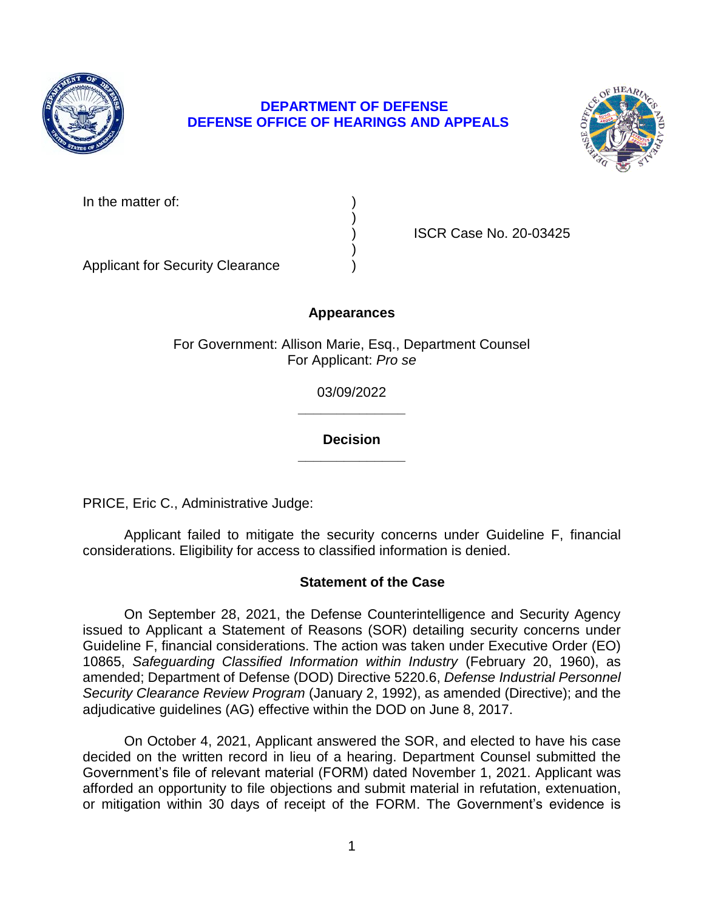

# **DEPARTMENT OF DEFENSE DEFENSE OFFICE OF HEARINGS AND APPEALS**



| In the matter of: |  |
|-------------------|--|
|-------------------|--|

) ISCR Case No. 20-03425

Applicant for Security Clearance )

## **Appearances**

)

)

For Government: Allison Marie, Esq., Department Counsel For Applicant: *Pro se* 

> **\_\_\_\_\_\_\_\_\_\_\_\_\_\_**  03/09/2022

### **\_\_\_\_\_\_\_\_\_\_\_\_\_\_ Decision**

PRICE, Eric C., Administrative Judge:

 Applicant failed to mitigate the security concerns under Guideline F, financial considerations. Eligibility for access to classified information is denied.

### **Statement of the Case**

 On September 28, 2021, the Defense Counterintelligence and Security Agency issued to Applicant a Statement of Reasons (SOR) detailing security concerns under Guideline F, financial considerations. The action was taken under Executive Order (EO)  10865, *Safeguarding Classified Information within Industry* (February 20, 1960), as amended; Department of Defense (DOD) Directive 5220.6, *Defense Industrial Personnel Security Clearance Review Program* (January 2, 1992), as amended (Directive); and the adjudicative guidelines (AG) effective within the DOD on June 8, 2017.

 On October 4, 2021, Applicant answered the SOR, and elected to have his case decided on the written record in lieu of a hearing. Department Counsel submitted the Government's file of relevant material (FORM) dated November 1, 2021. Applicant was afforded an opportunity to file objections and submit material in refutation, extenuation, or mitigation within 30 days of receipt of the FORM. The Government's evidence is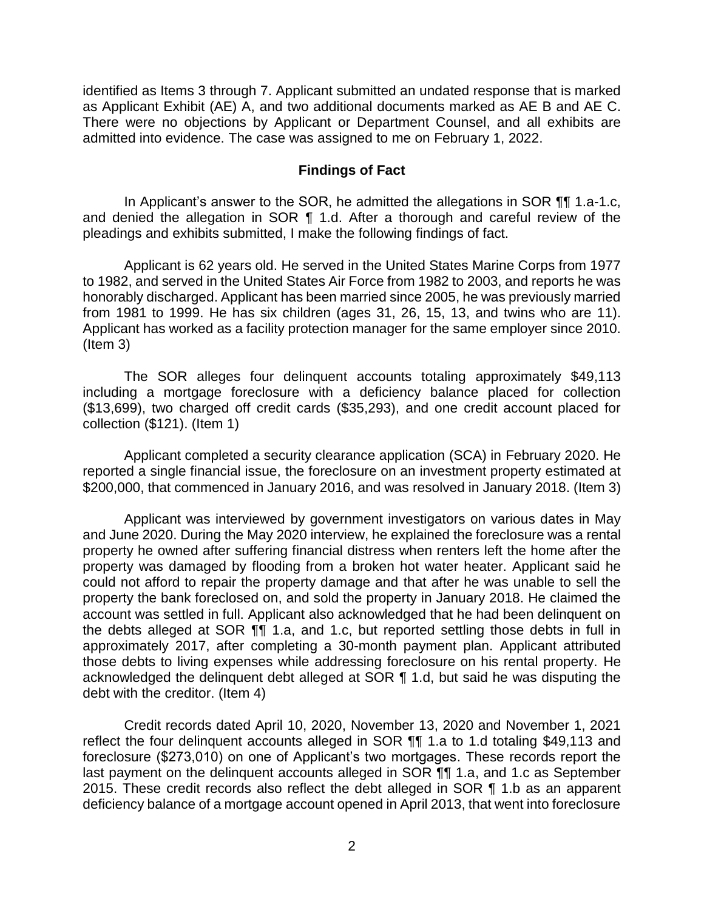identified as Items 3 through 7. Applicant submitted an undated response that is marked as Applicant Exhibit (AE) A, and two additional documents marked as AE B and AE C. There were no objections by Applicant or Department Counsel, and all exhibits are admitted into evidence. The case was assigned to me on February 1, 2022.

#### **Findings of Fact**

 In Applicant's answer to the SOR, he admitted the allegations in SOR ¶¶ 1.a-1.c, and denied the allegation in SOR ¶ 1.d. After a thorough and careful review of the pleadings and exhibits submitted, I make the following findings of fact.

 to 1982, and served in the United States Air Force from 1982 to 2003, and reports he was honorably discharged. Applicant has been married since 2005, he was previously married from 1981 to 1999. He has six children (ages 31, 26, 15, 13, and twins who are 11). Applicant has worked as a facility protection manager for the same employer since 2010. Applicant is 62 years old. He served in the United States Marine Corps from 1977 (Item 3)

 including a mortgage foreclosure with a deficiency balance placed for collection (\$13,699), two charged off credit cards (\$35,293), and one credit account placed for The SOR alleges four delinquent accounts totaling approximately \$49,113 collection (\$121). (Item 1)

 Applicant completed a security clearance application (SCA) in February 2020. He reported a single financial issue, the foreclosure on an investment property estimated at \$200,000, that commenced in January 2016, and was resolved in January 2018. (Item 3)

 Applicant was interviewed by government investigators on various dates in May and June 2020. During the May 2020 interview, he explained the foreclosure was a rental property he owned after suffering financial distress when renters left the home after the property was damaged by flooding from a broken hot water heater. Applicant said he could not afford to repair the property damage and that after he was unable to sell the property the bank foreclosed on, and sold the property in January 2018. He claimed the account was settled in full. Applicant also acknowledged that he had been delinquent on the debts alleged at SOR  $\P$ , 1.a, and 1.c, but reported settling those debts in full in approximately 2017, after completing a 30-month payment plan. Applicant attributed those debts to living expenses while addressing foreclosure on his rental property. He acknowledged the delinquent debt alleged at SOR ¶ 1.d, but said he was disputing the debt with the creditor. (Item 4)

 Credit records dated April 10, 2020, November 13, 2020 and November 1, 2021 reflect the four delinquent accounts alleged in SOR  $\P$  1.a to 1.d totaling \$49,113 and foreclosure (\$273,010) on one of Applicant's two mortgages. These records report the last payment on the delinquent accounts alleged in SOR  $\P\P$  1.a, and 1.c as September 2015. These credit records also reflect the debt alleged in SOR ¶ 1.b as an apparent deficiency balance of a mortgage account opened in April 2013, that went into foreclosure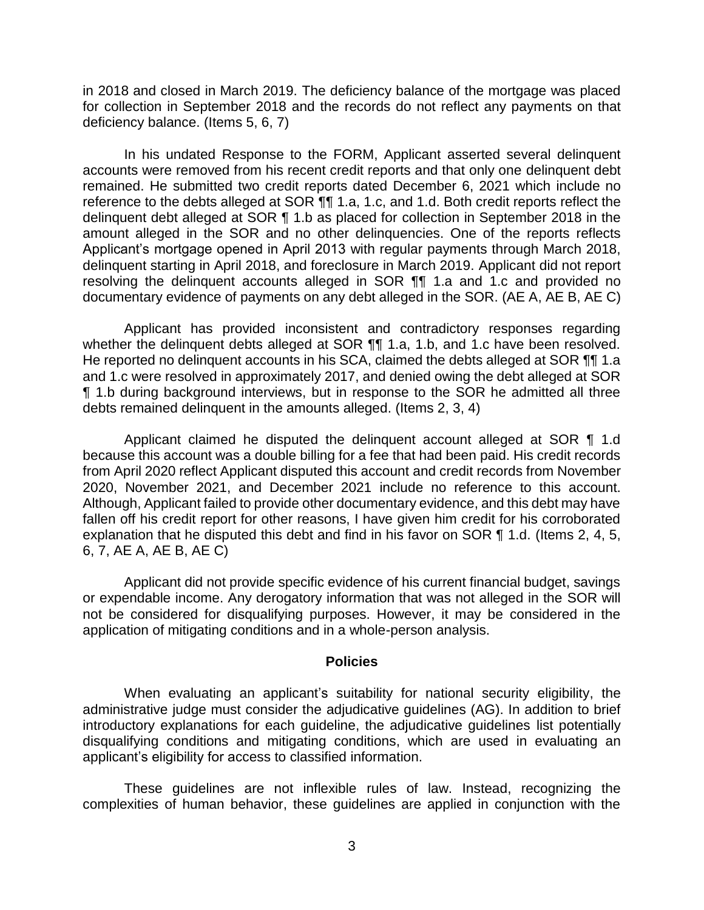in 2018 and closed in March 2019. The deficiency balance of the mortgage was placed for collection in September 2018 and the records do not reflect any payments on that deficiency balance. (Items 5, 6, 7)

 In his undated Response to the FORM, Applicant asserted several delinquent accounts were removed from his recent credit reports and that only one delinquent debt remained. He submitted two credit reports dated December 6, 2021 which include no reference to the debts alleged at SOR  $\P\P$  1.a, 1.c, and 1.d. Both credit reports reflect the delinquent debt alleged at SOR ¶ 1.b as placed for collection in September 2018 in the amount alleged in the SOR and no other delinquencies. One of the reports reflects Applicant's mortgage opened in April 2013 with regular payments through March 2018, delinquent starting in April 2018, and foreclosure in March 2019. Applicant did not report resolving the delinquent accounts alleged in SOR ¶¶ 1.a and 1.c and provided no documentary evidence of payments on any debt alleged in the SOR. (AE A, AE B, AE C)

 Applicant has provided inconsistent and contradictory responses regarding whether the delinquent debts alleged at SOR ¶¶ 1.a, 1.b, and 1.c have been resolved. He reported no delinquent accounts in his SCA, claimed the debts alleged at SOR  $\P\P$  1.a and 1.c were resolved in approximately 2017, and denied owing the debt alleged at SOR ¶ 1.b during background interviews, but in response to the SOR he admitted all three debts remained delinquent in the amounts alleged. (Items 2, 3, 4)

Applicant claimed he disputed the delinquent account alleged at SOR ¶ 1.d because this account was a double billing for a fee that had been paid. His credit records from April 2020 reflect Applicant disputed this account and credit records from November 2020, November 2021, and December 2021 include no reference to this account. Although, Applicant failed to provide other documentary evidence, and this debt may have fallen off his credit report for other reasons, I have given him credit for his corroborated explanation that he disputed this debt and find in his favor on SOR ¶ 1.d. (Items 2, 4, 5, 6, 7, AE A, AE B, AE C)

 Applicant did not provide specific evidence of his current financial budget, savings or expendable income. Any derogatory information that was not alleged in the SOR will not be considered for disqualifying purposes. However, it may be considered in the application of mitigating conditions and in a whole-person analysis.

#### **Policies**

 administrative judge must consider the adjudicative guidelines (AG). In addition to brief introductory explanations for each guideline, the adjudicative guidelines list potentially disqualifying conditions and mitigating conditions, which are used in evaluating an When evaluating an applicant's suitability for national security eligibility, the applicant's eligibility for access to classified information.

 These guidelines are not inflexible rules of law. Instead, recognizing the complexities of human behavior, these guidelines are applied in conjunction with the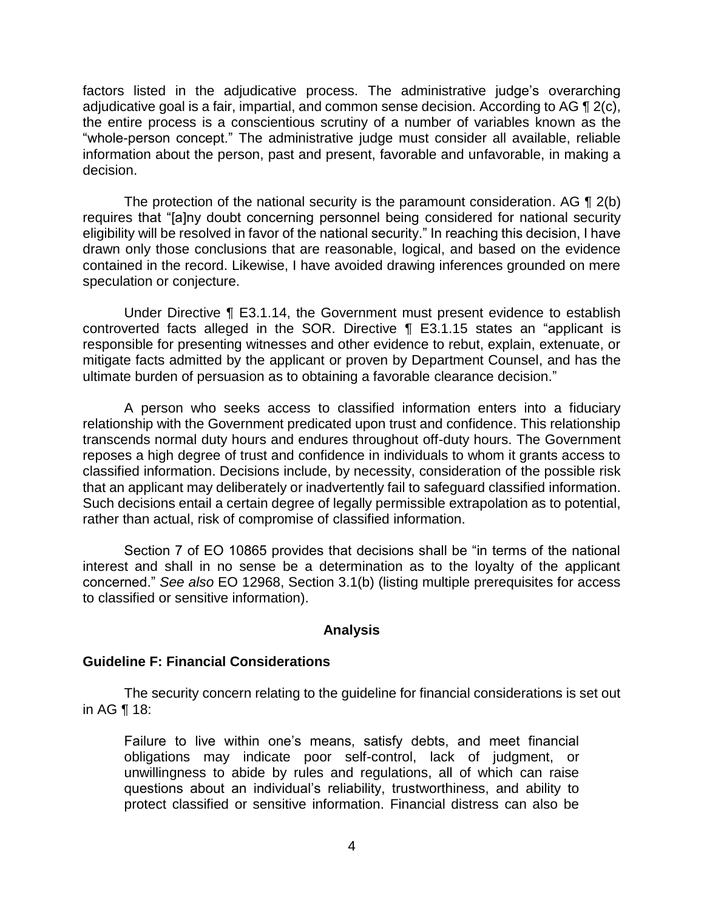factors listed in the adjudicative process. The administrative judge's overarching adjudicative goal is a fair, impartial, and common sense decision. According to AG  $\P$  2(c), the entire process is a conscientious scrutiny of a number of variables known as the "whole-person concept." The administrative judge must consider all available, reliable information about the person, past and present, favorable and unfavorable, in making a decision.

The protection of the national security is the paramount consideration. AG  $\P$  2(b) eligibility will be resolved in favor of the national security." In reaching this decision, I have drawn only those conclusions that are reasonable, logical, and based on the evidence contained in the record. Likewise, I have avoided drawing inferences grounded on mere requires that "[a]ny doubt concerning personnel being considered for national security speculation or conjecture.

 Under Directive ¶ E3.1.14, the Government must present evidence to establish controverted facts alleged in the SOR. Directive ¶ E3.1.15 states an "applicant is responsible for presenting witnesses and other evidence to rebut, explain, extenuate, or mitigate facts admitted by the applicant or proven by Department Counsel, and has the ultimate burden of persuasion as to obtaining a favorable clearance decision."

 A person who seeks access to classified information enters into a fiduciary relationship with the Government predicated upon trust and confidence. This relationship transcends normal duty hours and endures throughout off-duty hours. The Government reposes a high degree of trust and confidence in individuals to whom it grants access to classified information. Decisions include, by necessity, consideration of the possible risk that an applicant may deliberately or inadvertently fail to safeguard classified information. Such decisions entail a certain degree of legally permissible extrapolation as to potential, rather than actual, risk of compromise of classified information.

 Section 7 of EO 10865 provides that decisions shall be "in terms of the national interest and shall in no sense be a determination as to the loyalty of the applicant concerned." *See also* EO 12968, Section 3.1(b) (listing multiple prerequisites for access to classified or sensitive information).

### **Analysis**

### **Guideline F: Financial Considerations**

 The security concern relating to the guideline for financial considerations is set out in AG ¶ 18:

Failure to live within one's means, satisfy debts, and meet financial obligations may indicate poor self-control, lack of judgment, or unwillingness to abide by rules and regulations, all of which can raise questions about an individual's reliability, trustworthiness, and ability to protect classified or sensitive information. Financial distress can also be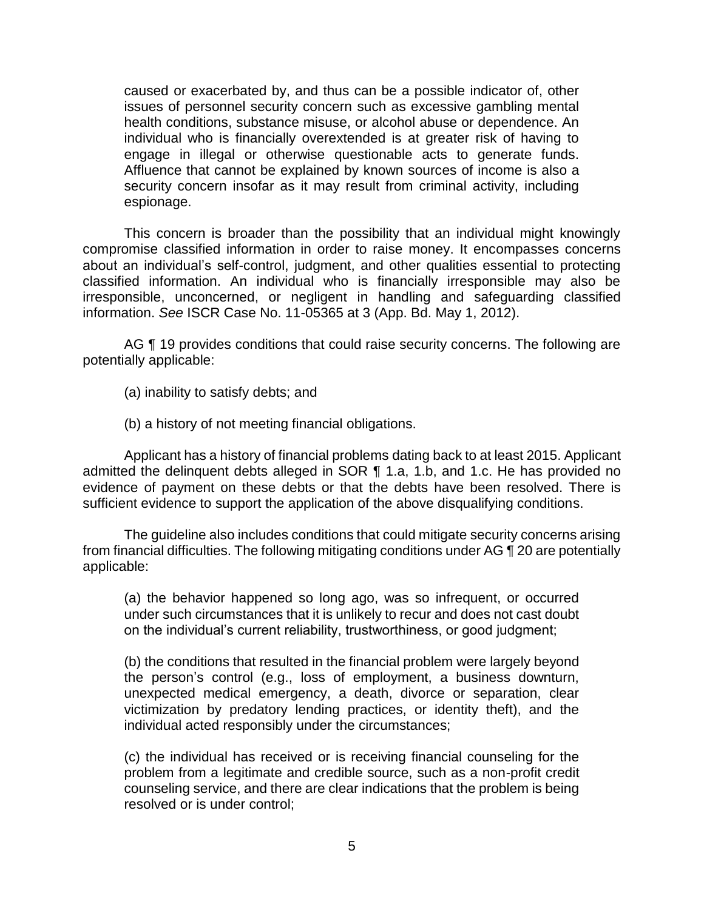caused or exacerbated by, and thus can be a possible indicator of, other issues of personnel security concern such as excessive gambling mental health conditions, substance misuse, or alcohol abuse or dependence. An individual who is financially overextended is at greater risk of having to engage in illegal or otherwise questionable acts to generate funds. Affluence that cannot be explained by known sources of income is also a security concern insofar as it may result from criminal activity, including espionage.

 This concern is broader than the possibility that an individual might knowingly compromise classified information in order to raise money. It encompasses concerns about an individual's self-control, judgment, and other qualities essential to protecting classified information. An individual who is financially irresponsible may also be irresponsible, unconcerned, or negligent in handling and safeguarding classified information. *See* ISCR Case No. 11-05365 at 3 (App. Bd. May 1, 2012).

AG ¶ 19 provides conditions that could raise security concerns. The following are potentially applicable:

(a) inability to satisfy debts; and

(b) a history of not meeting financial obligations.

 Applicant has a history of financial problems dating back to at least 2015. Applicant admitted the delinquent debts alleged in SOR ¶ 1.a, 1.b, and 1.c. He has provided no evidence of payment on these debts or that the debts have been resolved. There is sufficient evidence to support the application of the above disqualifying conditions.

 The guideline also includes conditions that could mitigate security concerns arising from financial difficulties. The following mitigating conditions under AG ¶ 20 are potentially applicable:

(a) the behavior happened so long ago, was so infrequent, or occurred under such circumstances that it is unlikely to recur and does not cast doubt on the individual's current reliability, trustworthiness, or good judgment;

(b) the conditions that resulted in the financial problem were largely beyond the person's control (e.g., loss of employment, a business downturn, unexpected medical emergency, a death, divorce or separation, clear victimization by predatory lending practices, or identity theft), and the individual acted responsibly under the circumstances;

(c) the individual has received or is receiving financial counseling for the problem from a legitimate and credible source, such as a non-profit credit counseling service, and there are clear indications that the problem is being resolved or is under control;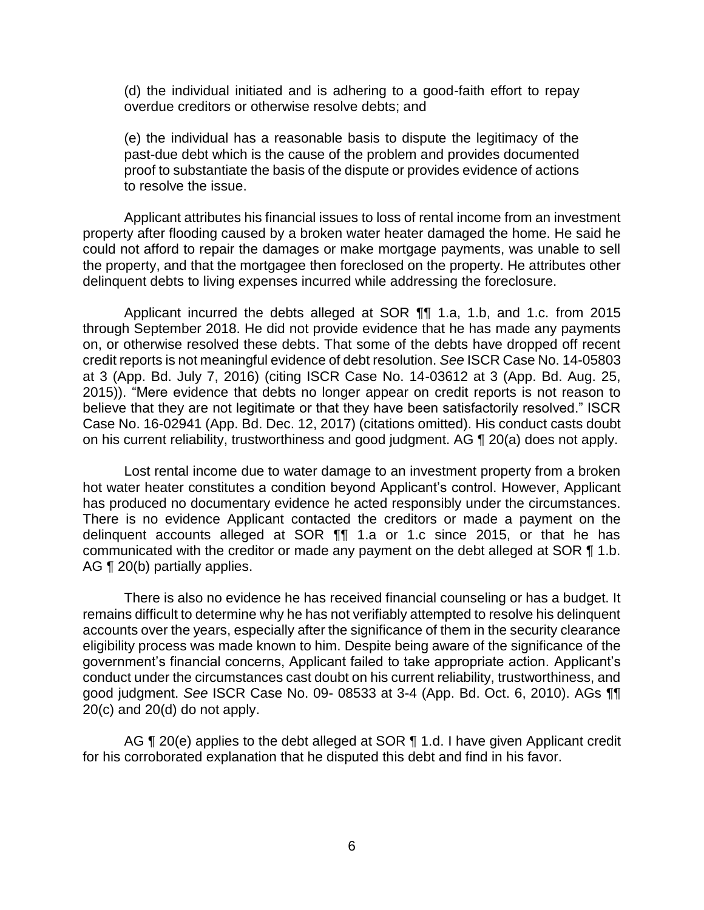(d) the individual initiated and is adhering to a good-faith effort to repay overdue creditors or otherwise resolve debts; and

(e) the individual has a reasonable basis to dispute the legitimacy of the past-due debt which is the cause of the problem and provides documented proof to substantiate the basis of the dispute or provides evidence of actions to resolve the issue.

 Applicant attributes his financial issues to loss of rental income from an investment property after flooding caused by a broken water heater damaged the home. He said he could not afford to repair the damages or make mortgage payments, was unable to sell the property, and that the mortgagee then foreclosed on the property. He attributes other delinquent debts to living expenses incurred while addressing the foreclosure.

 Applicant incurred the debts alleged at SOR ¶¶ 1.a, 1.b, and 1.c. from 2015 through September 2018. He did not provide evidence that he has made any payments on, or otherwise resolved these debts. That some of the debts have dropped off recent credit reports is not meaningful evidence of debt resolution. *See* ISCR Case No. 14-05803 at 3 (App. Bd. July 7, 2016) (citing ISCR Case No. 14-03612 at 3 (App. Bd. Aug. 25, 2015)). "Mere evidence that debts no longer appear on credit reports is not reason to believe that they are not legitimate or that they have been satisfactorily resolved." ISCR Case No. 16-02941 (App. Bd. Dec. 12, 2017) (citations omitted). His conduct casts doubt on his current reliability, trustworthiness and good judgment. AG ¶ 20(a) does not apply.

 Lost rental income due to water damage to an investment property from a broken hot water heater constitutes a condition beyond Applicant's control. However, Applicant has produced no documentary evidence he acted responsibly under the circumstances. There is no evidence Applicant contacted the creditors or made a payment on the delinquent accounts alleged at SOR ¶¶ 1.a or 1.c since 2015, or that he has communicated with the creditor or made any payment on the debt alleged at SOR ¶ 1.b. AG ¶ 20(b) partially applies.

 There is also no evidence he has received financial counseling or has a budget. It remains difficult to determine why he has not verifiably attempted to resolve his delinquent accounts over the years, especially after the significance of them in the security clearance eligibility process was made known to him. Despite being aware of the significance of the government's financial concerns, Applicant failed to take appropriate action. Applicant's conduct under the circumstances cast doubt on his current reliability, trustworthiness, and good judgment. *See* ISCR Case No. 09- 08533 at 3-4 (App. Bd. Oct. 6, 2010). AGs ¶¶ 20(c) and 20(d) do not apply.

AG ¶ 20(e) applies to the debt alleged at SOR ¶ 1.d. I have given Applicant credit for his corroborated explanation that he disputed this debt and find in his favor.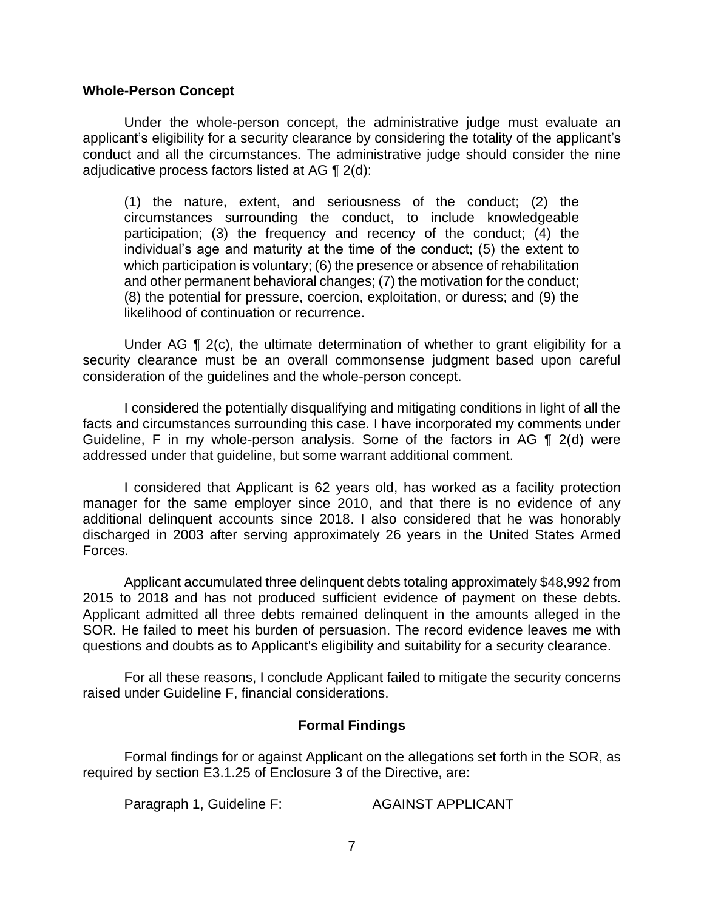### **Whole-Person Concept**

 Under the whole-person concept, the administrative judge must evaluate an applicant's eligibility for a security clearance by considering the totality of the applicant's conduct and all the circumstances. The administrative judge should consider the nine adjudicative process factors listed at AG  $\P$  2(d):

 (1) the nature, extent, and seriousness of the conduct; (2) the circumstances surrounding the conduct, to include knowledgeable participation; (3) the frequency and recency of the conduct; (4) the individual's age and maturity at the time of the conduct; (5) the extent to which participation is voluntary; (6) the presence or absence of rehabilitation and other permanent behavioral changes; (7) the motivation for the conduct; (8) the potential for pressure, coercion, exploitation, or duress; and (9) the likelihood of continuation or recurrence.

Under AG  $\P$  2(c), the ultimate determination of whether to grant eligibility for a security clearance must be an overall commonsense judgment based upon careful consideration of the guidelines and the whole-person concept.

 I considered the potentially disqualifying and mitigating conditions in light of all the Guideline, F in my whole-person analysis. Some of the factors in AG ¶ 2(d) were facts and circumstances surrounding this case. I have incorporated my comments under addressed under that guideline, but some warrant additional comment.

 I considered that Applicant is 62 years old, has worked as a facility protection manager for the same employer since 2010, and that there is no evidence of any discharged in 2003 after serving approximately 26 years in the United States Armed additional delinquent accounts since 2018. I also considered that he was honorably Forces.

 Applicant accumulated three delinquent debts totaling approximately \$48,992 from 2015 to 2018 and has not produced sufficient evidence of payment on these debts. Applicant admitted all three debts remained delinquent in the amounts alleged in the SOR. He failed to meet his burden of persuasion. The record evidence leaves me with questions and doubts as to Applicant's eligibility and suitability for a security clearance.

 For all these reasons, I conclude Applicant failed to mitigate the security concerns raised under Guideline F, financial considerations.

### **Formal Findings**

 Formal findings for or against Applicant on the allegations set forth in the SOR, as required by section E3.1.25 of Enclosure 3 of the Directive, are:

Paragraph 1, Guideline F: AGAINST APPLICANT